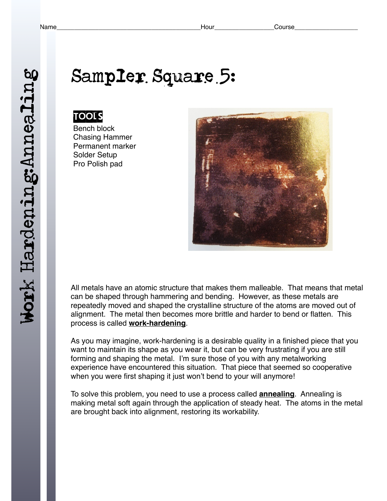Work Hardening: Annealing Work Hardening:Annealing

# Sampler Square 5:

#### **TOOLS**

Bench block Chasing Hammer Permanent marker Solder Setup Pro Polish pad



All metals have an atomic structure that makes them malleable. That means that metal can be shaped through hammering and bending. However, as these metals are repeatedly moved and shaped the crystalline structure of the atoms are moved out of alignment. The metal then becomes more brittle and harder to bend or flatten. This process is called **work-hardening**.

As you may imagine, work-hardening is a desirable quality in a finished piece that you want to maintain its shape as you wear it, but can be very frustrating if you are still forming and shaping the metal. I'm sure those of you with any metalworking experience have encountered this situation. That piece that seemed so cooperative when you were first shaping it just won't bend to your will anymore!

To solve this problem, you need to use a process called **annealing**. Annealing is making metal soft again through the application of steady heat. The atoms in the metal are brought back into alignment, restoring its workability.